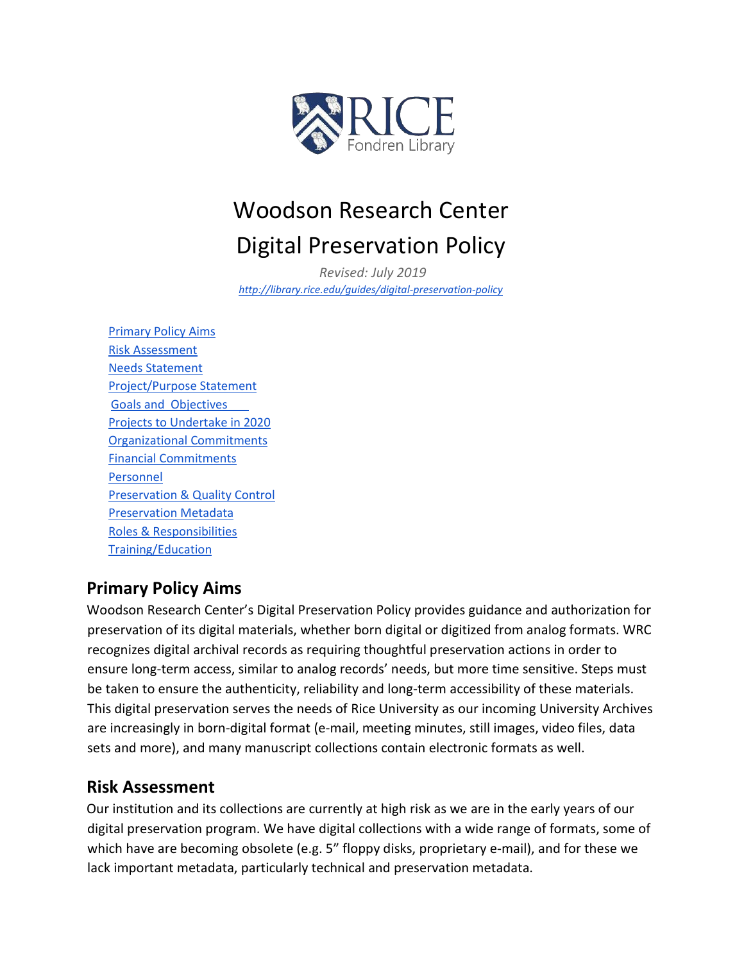

# Woodson Research Center Digital Preservation Policy

*Revised: July 2019 <http://library.rice.edu/guides/digital-preservation-policy>*

Primary Policy Aims Risk Assessment Needs Statement Project/Purpose Statement Goals and Objectives Projects to Undertake in 2020 Organizational Commitments Financial Commitments Personnel Preservation & Quality Control Preservation Metadata Roles & Responsibilities Training/Education

# **Primary Policy Aims**

Woodson Research Center's Digital Preservation Policy provides guidance and authorization for preservation of its digital materials, whether born digital or digitized from analog formats. WRC recognizes digital archival records as requiring thoughtful preservation actions in order to ensure long-term access, similar to analog records' needs, but more time sensitive. Steps must be taken to ensure the authenticity, reliability and long-term accessibility of these materials. This digital preservation serves the needs of Rice University as our incoming University Archives are increasingly in born-digital format (e-mail, meeting minutes, still images, video files, data sets and more), and many manuscript collections contain electronic formats as well.

## **Risk Assessment**

Our institution and its collections are currently at high risk as we are in the early years of our digital preservation program. We have digital collections with a wide range of formats, some of which have are becoming obsolete (e.g. 5" floppy disks, proprietary e-mail), and for these we lack important metadata, particularly technical and preservation metadata.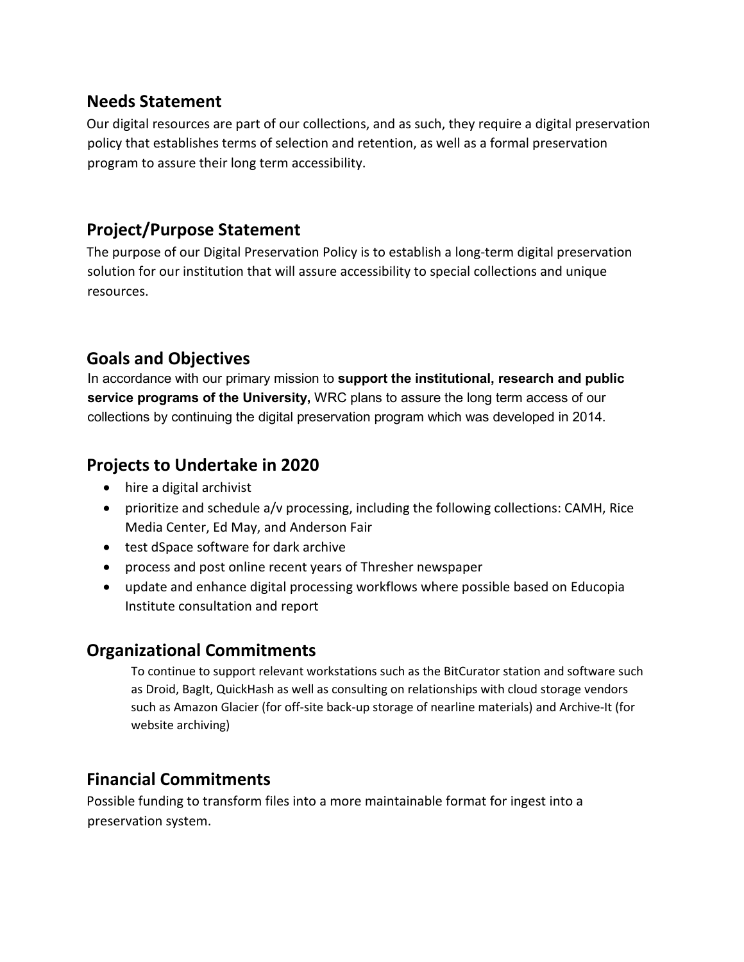## **Needs Statement**

Our digital resources are part of our collections, and as such, they require a digital preservation policy that establishes terms of selection and retention, as well as a formal preservation program to assure their long term accessibility.

# **Project/Purpose Statement**

The purpose of our Digital Preservation Policy is to establish a long-term digital preservation solution for our institution that will assure accessibility to special collections and unique resources.

# **Goals and Objectives**

In accordance with our primary mission to **support the institutional, research and public service programs of the University,** WRC plans to assure the long term access of our collections by continuing the digital preservation program which was developed in 2014.

# **Projects to Undertake in 2020**

- hire a digital archivist
- prioritize and schedule a/v processing, including the following collections: CAMH, Rice Media Center, Ed May, and Anderson Fair
- test dSpace software for dark archive
- process and post online recent years of Thresher newspaper
- update and enhance digital processing workflows where possible based on Educopia Institute consultation and report

# **Organizational Commitments**

To continue to support relevant workstations such as the BitCurator station and software such as Droid, BagIt, QuickHash as well as consulting on relationships with cloud storage vendors such as Amazon Glacier (for off-site back-up storage of nearline materials) and Archive-It (for website archiving)

# **Financial Commitments**

Possible funding to transform files into a more maintainable format for ingest into a preservation system.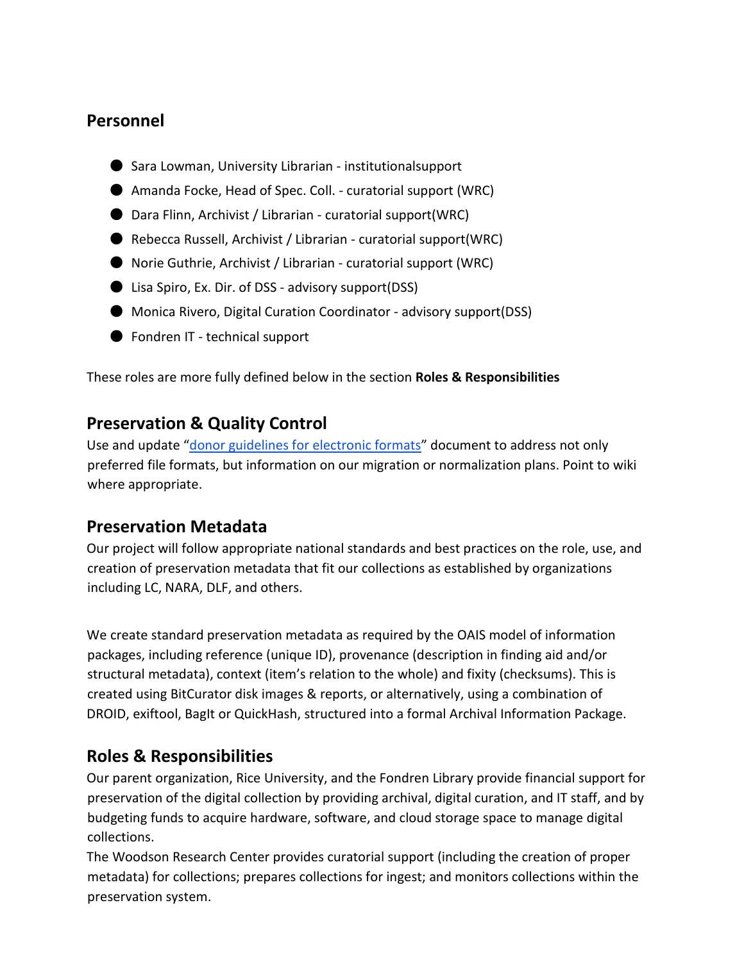### **Personnel**

- Sara Lowman, University Librarian institutionalsupport
- Amanda Focke, Head of Spec. Coll. curatorial support (WRC)
- Dara Flinn, Archivist / Librarian curatorial support(WRC)
- Rebecca Russell, Archivist / Librarian curatorial support(WRC)
- Norie Guthrie, Archivist / Librarian curatorial support (WRC)
- Lisa Spiro, Ex. Dir. of DSS advisory support(DSS)
- Monica Rivero, Digital Curation Coordinator advisory support(DSS)
- Fondren IT technical support

These roles are more fully defined below in the section **Roles & Responsibilities** 

## **Preservation & Quality Control**

Use and update "donor guidelines [for electronic formats"](https://drive.google.com/a/rice.edu/file/d/0BwfrG-d0U1WKM3dGbFM4WGttRnc/edit?usp=sharing) document to address not only preferred file formats, but information on our migration or normalization plans. Point to wiki where appropriate.

## **Preservation Metadata**

Our project will follow appropriate national standards and best practices on the role, use, and creation of preservation metadata that fit our collections as established by organizations including LC, NARA, DLF, and others.

We create standard preservation metadata as required by the OAIS model of information packages, including reference (unique ID), provenance (description in finding aid and/or structural metadata), context (item's relation to the whole) and fixity (checksums). This is created using BitCurator disk images & reports, or alternatively, using a combination of DROID, exiftool, BagIt or QuickHash, structured into a formal Archival Information Package.

# **Roles & Responsibilities**

Our parent organization, Rice University, and the Fondren Library provide financial support for preservation of the digital collection by providing archival, digital curation, and IT staff, and by budgeting funds to acquire hardware, software, and cloud storage space to manage digital collections.

The Woodson Research Center provides curatorial support (including the creation of proper metadata) for collections; prepares collections for ingest; and monitors collections within the preservation system.